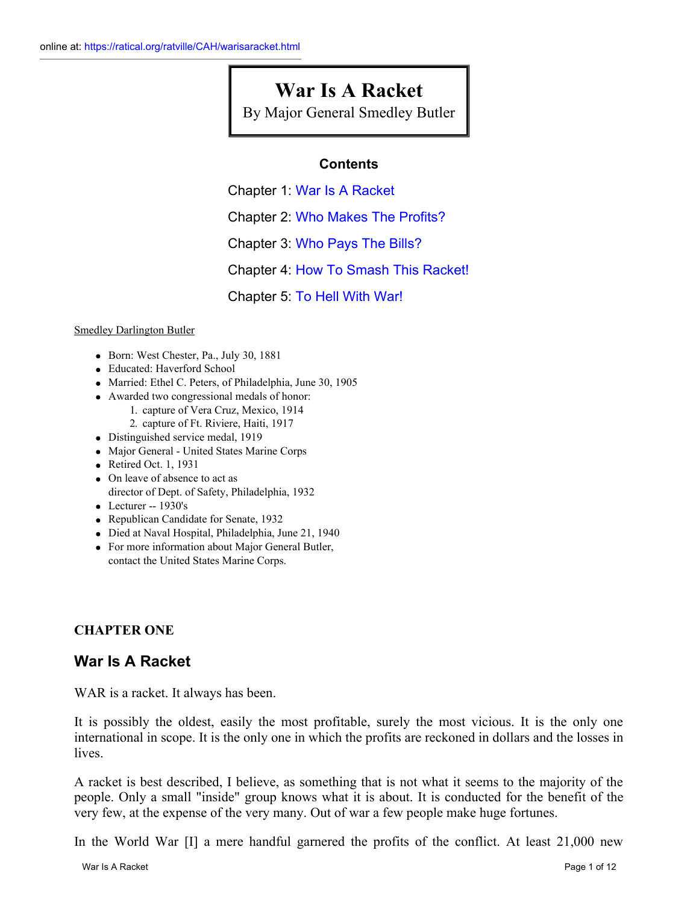## **War Is A Racket**

By Major General Smedley Butler

#### **Contents**

 Chapter 1: [War Is A Racket](#page-0-0) Chapter 2: [Who Makes The Profits?](#page-2-0) Chapter 3: [Who Pays The Bills?](#page-6-0) Chapter 4: [How To Smash This Racket!](#page-8-0) Chapter 5: [To Hell With War!](#page-10-0)

#### **Smedley Darlington Butler**

- Born: West Chester, Pa., July 30, 1881
- Educated: Haverford School
- Married: Ethel C. Peters, of Philadelphia, June 30, 1905
- Awarded two congressional medals of honor:
	- 1. capture of Vera Cruz, Mexico, 1914
		- 2. capture of Ft. Riviere, Haiti, 1917
- Distinguished service medal, 1919
- Major General United States Marine Corps
- $\bullet$  Retired Oct. 1, 1931
- On leave of absence to act as
- director of Dept. of Safety, Philadelphia, 1932
- $\bullet$  Lecturer -- 1930's
- Republican Candidate for Senate, 1932
- Died at Naval Hospital, Philadelphia, June 21, 1940
- For more information about Major General Butler, contact the United States Marine Corps.

## <span id="page-0-0"></span>**CHAPTER ONE**

## **War Is A Racket**

WAR is a racket. It always has been.

It is possibly the oldest, easily the most profitable, surely the most vicious. It is the only one international in scope. It is the only one in which the profits are reckoned in dollars and the losses in lives.

A racket is best described, I believe, as something that is not what it seems to the majority of the people. Only a small "inside" group knows what it is about. It is conducted for the benefit of the very few, at the expense of the very many. Out of war a few people make huge fortunes.

In the World War [I] a mere handful garnered the profits of the conflict. At least 21,000 new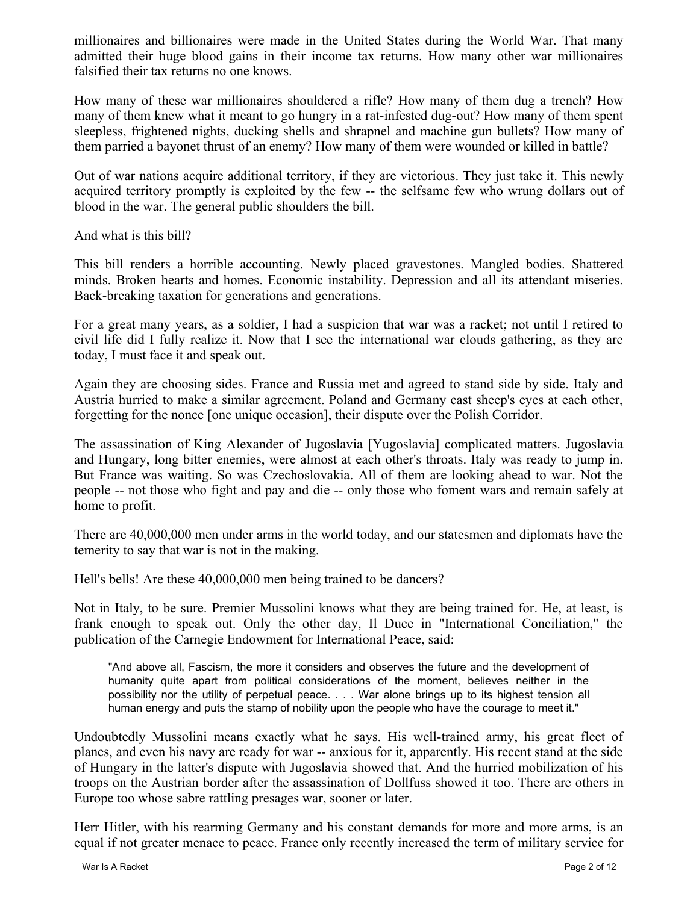millionaires and billionaires were made in the United States during the World War. That many admitted their huge blood gains in their income tax returns. How many other war millionaires falsified their tax returns no one knows.

How many of these war millionaires shouldered a rifle? How many of them dug a trench? How many of them knew what it meant to go hungry in a rat-infested dug-out? How many of them spent sleepless, frightened nights, ducking shells and shrapnel and machine gun bullets? How many of them parried a bayonet thrust of an enemy? How many of them were wounded or killed in battle?

Out of war nations acquire additional territory, if they are victorious. They just take it. This newly acquired territory promptly is exploited by the few -- the selfsame few who wrung dollars out of blood in the war. The general public shoulders the bill.

And what is this bill?

This bill renders a horrible accounting. Newly placed gravestones. Mangled bodies. Shattered minds. Broken hearts and homes. Economic instability. Depression and all its attendant miseries. Back-breaking taxation for generations and generations.

For a great many years, as a soldier, I had a suspicion that war was a racket; not until I retired to civil life did I fully realize it. Now that I see the international war clouds gathering, as they are today, I must face it and speak out.

Again they are choosing sides. France and Russia met and agreed to stand side by side. Italy and Austria hurried to make a similar agreement. Poland and Germany cast sheep's eyes at each other, forgetting for the nonce [one unique occasion], their dispute over the Polish Corridor.

The assassination of King Alexander of Jugoslavia [Yugoslavia] complicated matters. Jugoslavia and Hungary, long bitter enemies, were almost at each other's throats. Italy was ready to jump in. But France was waiting. So was Czechoslovakia. All of them are looking ahead to war. Not the people -- not those who fight and pay and die -- only those who foment wars and remain safely at home to profit.

There are 40,000,000 men under arms in the world today, and our statesmen and diplomats have the temerity to say that war is not in the making.

Hell's bells! Are these 40,000,000 men being trained to be dancers?

Not in Italy, to be sure. Premier Mussolini knows what they are being trained for. He, at least, is frank enough to speak out. Only the other day, Il Duce in "International Conciliation," the publication of the Carnegie Endowment for International Peace, said:

"And above all, Fascism, the more it considers and observes the future and the development of humanity quite apart from political considerations of the moment, believes neither in the possibility nor the utility of perpetual peace. . . . War alone brings up to its highest tension all human energy and puts the stamp of nobility upon the people who have the courage to meet it."

Undoubtedly Mussolini means exactly what he says. His well-trained army, his great fleet of planes, and even his navy are ready for war -- anxious for it, apparently. His recent stand at the side of Hungary in the latter's dispute with Jugoslavia showed that. And the hurried mobilization of his troops on the Austrian border after the assassination of Dollfuss showed it too. There are others in Europe too whose sabre rattling presages war, sooner or later.

Herr Hitler, with his rearming Germany and his constant demands for more and more arms, is an equal if not greater menace to peace. France only recently increased the term of military service for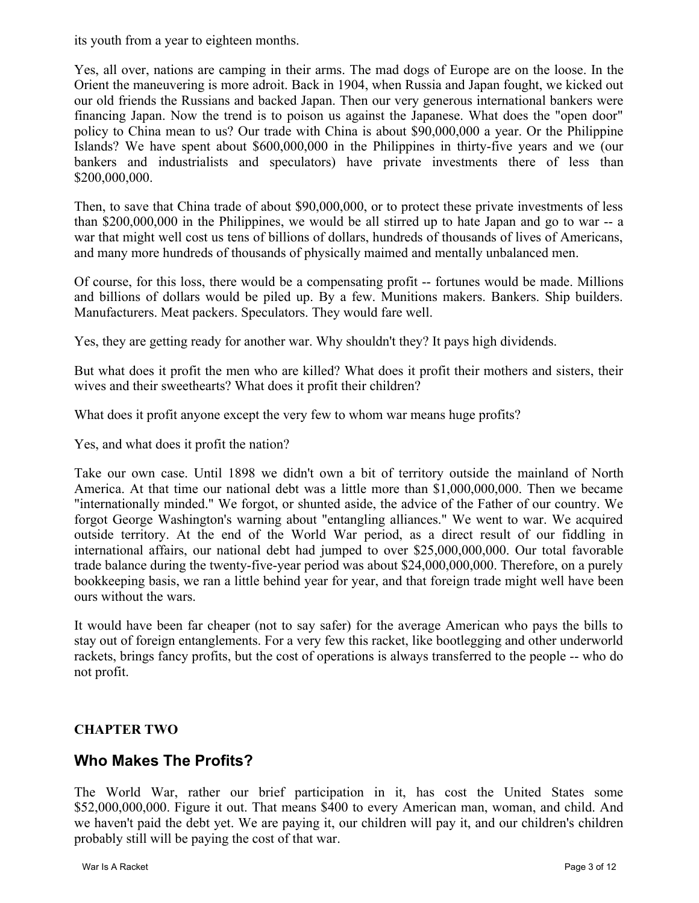its youth from a year to eighteen months.

Yes, all over, nations are camping in their arms. The mad dogs of Europe are on the loose. In the Orient the maneuvering is more adroit. Back in 1904, when Russia and Japan fought, we kicked out our old friends the Russians and backed Japan. Then our very generous international bankers were financing Japan. Now the trend is to poison us against the Japanese. What does the "open door" policy to China mean to us? Our trade with China is about \$90,000,000 a year. Or the Philippine Islands? We have spent about \$600,000,000 in the Philippines in thirty-five years and we (our bankers and industrialists and speculators) have private investments there of less than \$200,000,000.

Then, to save that China trade of about \$90,000,000, or to protect these private investments of less than \$200,000,000 in the Philippines, we would be all stirred up to hate Japan and go to war -- a war that might well cost us tens of billions of dollars, hundreds of thousands of lives of Americans, and many more hundreds of thousands of physically maimed and mentally unbalanced men.

Of course, for this loss, there would be a compensating profit -- fortunes would be made. Millions and billions of dollars would be piled up. By a few. Munitions makers. Bankers. Ship builders. Manufacturers. Meat packers. Speculators. They would fare well.

Yes, they are getting ready for another war. Why shouldn't they? It pays high dividends.

But what does it profit the men who are killed? What does it profit their mothers and sisters, their wives and their sweethearts? What does it profit their children?

What does it profit anyone except the very few to whom war means huge profits?

Yes, and what does it profit the nation?

Take our own case. Until 1898 we didn't own a bit of territory outside the mainland of North America. At that time our national debt was a little more than \$1,000,000,000. Then we became "internationally minded." We forgot, or shunted aside, the advice of the Father of our country. We forgot George Washington's warning about "entangling alliances." We went to war. We acquired outside territory. At the end of the World War period, as a direct result of our fiddling in international affairs, our national debt had jumped to over \$25,000,000,000. Our total favorable trade balance during the twenty-five-year period was about \$24,000,000,000. Therefore, on a purely bookkeeping basis, we ran a little behind year for year, and that foreign trade might well have been ours without the wars.

It would have been far cheaper (not to say safer) for the average American who pays the bills to stay out of foreign entanglements. For a very few this racket, like bootlegging and other underworld rackets, brings fancy profits, but the cost of operations is always transferred to the people -- who do not profit.

## <span id="page-2-0"></span>**CHAPTER TWO**

## **Who Makes The Profits?**

The World War, rather our brief participation in it, has cost the United States some \$52,000,000,000. Figure it out. That means \$400 to every American man, woman, and child. And we haven't paid the debt yet. We are paying it, our children will pay it, and our children's children probably still will be paying the cost of that war.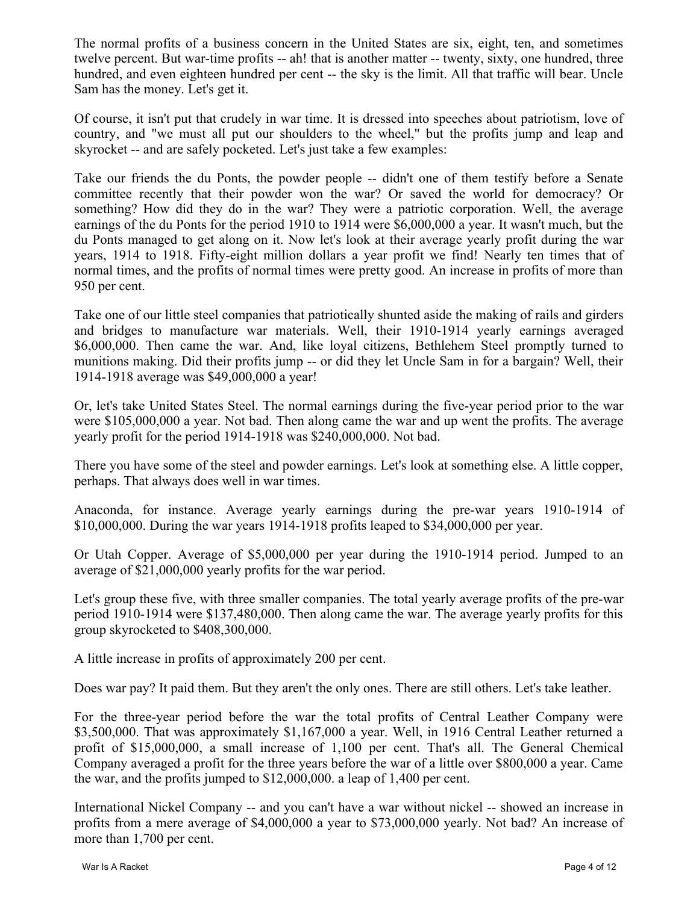The normal profits of a business concern in the United States are six, eight, ten, and sometimes twelve percent. But war-time profits -- ah! that is another matter -- twenty, sixty, one hundred, three hundred, and even eighteen hundred per cent -- the sky is the limit. All that traffic will bear. Uncle Sam has the money. Let's get it.

Of course, it isn't put that crudely in war time. It is dressed into speeches about patriotism, love of country, and "we must all put our shoulders to the wheel," but the profits jump and leap and skyrocket -- and are safely pocketed. Let's just take a few examples:

Take our friends the du Ponts, the powder people -- didn't one of them testify before a Senate committee recently that their powder won the war? Or saved the world for democracy? Or something? How did they do in the war? They were a patriotic corporation. Well, the average earnings of the du Ponts for the period 1910 to 1914 were \$6,000,000 a year. It wasn't much, but the du Ponts managed to get along on it. Now let's look at their average yearly profit during the war years, 1914 to 1918. Fifty-eight million dollars a year profit we find! Nearly ten times that of normal times, and the profits of normal times were pretty good. An increase in profits of more than 950 per cent.

Take one of our little steel companies that patriotically shunted aside the making of rails and girders and bridges to manufacture war materials. Well, their 1910-1914 yearly earnings averaged \$6,000,000. Then came the war. And, like loyal citizens, Bethlehem Steel promptly turned to munitions making. Did their profits jump -- or did they let Uncle Sam in for a bargain? Well, their 1914-1918 average was \$49,000,000 a year!

Or, let's take United States Steel. The normal earnings during the five-year period prior to the war were \$105,000,000 a year. Not bad. Then along came the war and up went the profits. The average yearly profit for the period 1914-1918 was \$240,000,000. Not bad.

There you have some of the steel and powder earnings. Let's look at something else. A little copper, perhaps. That always does well in war times.

Anaconda, for instance. Average yearly earnings during the pre-war years 1910-1914 of \$10,000,000. During the war years 1914-1918 profits leaped to \$34,000,000 per year.

Or Utah Copper. Average of \$5,000,000 per year during the 1910-1914 period. Jumped to an average of \$21,000,000 yearly profits for the war period.

Let's group these five, with three smaller companies. The total yearly average profits of the pre-war period 1910-1914 were \$137,480,000. Then along came the war. The average yearly profits for this group skyrocketed to \$408,300,000.

A little increase in profits of approximately 200 per cent.

Does war pay? It paid them. But they aren't the only ones. There are still others. Let's take leather.

For the three-year period before the war the total profits of Central Leather Company were \$3,500,000. That was approximately \$1,167,000 a year. Well, in 1916 Central Leather returned a profit of \$15,000,000, a small increase of 1,100 per cent. That's all. The General Chemical Company averaged a profit for the three years before the war of a little over \$800,000 a year. Came the war, and the profits jumped to \$12,000,000. a leap of 1,400 per cent.

International Nickel Company -- and you can't have a war without nickel -- showed an increase in profits from a mere average of \$4,000,000 a year to \$73,000,000 yearly. Not bad? An increase of more than 1,700 per cent.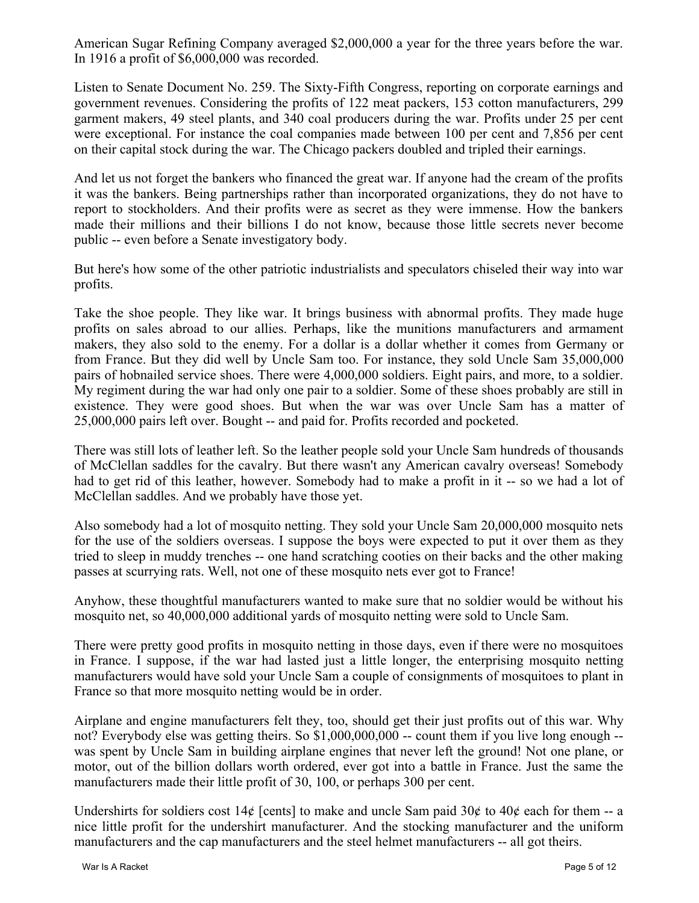American Sugar Refining Company averaged \$2,000,000 a year for the three years before the war. In 1916 a profit of \$6,000,000 was recorded.

Listen to Senate Document No. 259. The Sixty-Fifth Congress, reporting on corporate earnings and government revenues. Considering the profits of 122 meat packers, 153 cotton manufacturers, 299 garment makers, 49 steel plants, and 340 coal producers during the war. Profits under 25 per cent were exceptional. For instance the coal companies made between 100 per cent and 7,856 per cent on their capital stock during the war. The Chicago packers doubled and tripled their earnings.

And let us not forget the bankers who financed the great war. If anyone had the cream of the profits it was the bankers. Being partnerships rather than incorporated organizations, they do not have to report to stockholders. And their profits were as secret as they were immense. How the bankers made their millions and their billions I do not know, because those little secrets never become public -- even before a Senate investigatory body.

But here's how some of the other patriotic industrialists and speculators chiseled their way into war profits.

Take the shoe people. They like war. It brings business with abnormal profits. They made huge profits on sales abroad to our allies. Perhaps, like the munitions manufacturers and armament makers, they also sold to the enemy. For a dollar is a dollar whether it comes from Germany or from France. But they did well by Uncle Sam too. For instance, they sold Uncle Sam 35,000,000 pairs of hobnailed service shoes. There were 4,000,000 soldiers. Eight pairs, and more, to a soldier. My regiment during the war had only one pair to a soldier. Some of these shoes probably are still in existence. They were good shoes. But when the war was over Uncle Sam has a matter of 25,000,000 pairs left over. Bought -- and paid for. Profits recorded and pocketed.

There was still lots of leather left. So the leather people sold your Uncle Sam hundreds of thousands of McClellan saddles for the cavalry. But there wasn't any American cavalry overseas! Somebody had to get rid of this leather, however. Somebody had to make a profit in it -- so we had a lot of McClellan saddles. And we probably have those yet.

Also somebody had a lot of mosquito netting. They sold your Uncle Sam 20,000,000 mosquito nets for the use of the soldiers overseas. I suppose the boys were expected to put it over them as they tried to sleep in muddy trenches -- one hand scratching cooties on their backs and the other making passes at scurrying rats. Well, not one of these mosquito nets ever got to France!

Anyhow, these thoughtful manufacturers wanted to make sure that no soldier would be without his mosquito net, so 40,000,000 additional yards of mosquito netting were sold to Uncle Sam.

There were pretty good profits in mosquito netting in those days, even if there were no mosquitoes in France. I suppose, if the war had lasted just a little longer, the enterprising mosquito netting manufacturers would have sold your Uncle Sam a couple of consignments of mosquitoes to plant in France so that more mosquito netting would be in order.

Airplane and engine manufacturers felt they, too, should get their just profits out of this war. Why not? Everybody else was getting theirs. So \$1,000,000,000 -- count them if you live long enough -was spent by Uncle Sam in building airplane engines that never left the ground! Not one plane, or motor, out of the billion dollars worth ordered, ever got into a battle in France. Just the same the manufacturers made their little profit of 30, 100, or perhaps 300 per cent.

Undershirts for soldiers cost  $14\ell$  [cents] to make and uncle Sam paid  $30\ell$  to  $40\ell$  each for them -- a nice little profit for the undershirt manufacturer. And the stocking manufacturer and the uniform manufacturers and the cap manufacturers and the steel helmet manufacturers -- all got theirs.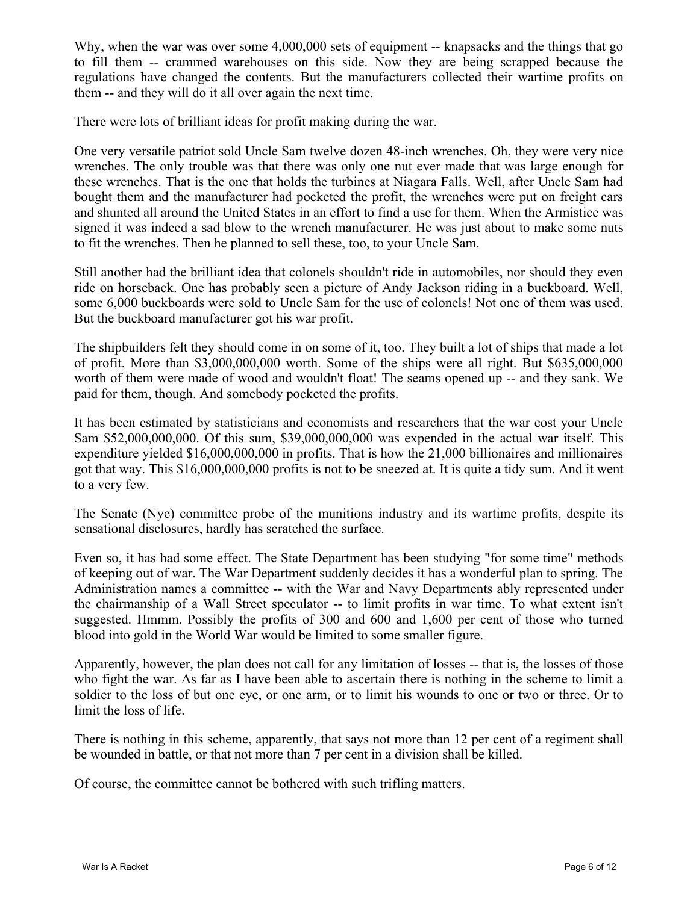Why, when the war was over some 4,000,000 sets of equipment -- knapsacks and the things that go to fill them -- crammed warehouses on this side. Now they are being scrapped because the regulations have changed the contents. But the manufacturers collected their wartime profits on them -- and they will do it all over again the next time.

There were lots of brilliant ideas for profit making during the war.

One very versatile patriot sold Uncle Sam twelve dozen 48-inch wrenches. Oh, they were very nice wrenches. The only trouble was that there was only one nut ever made that was large enough for these wrenches. That is the one that holds the turbines at Niagara Falls. Well, after Uncle Sam had bought them and the manufacturer had pocketed the profit, the wrenches were put on freight cars and shunted all around the United States in an effort to find a use for them. When the Armistice was signed it was indeed a sad blow to the wrench manufacturer. He was just about to make some nuts to fit the wrenches. Then he planned to sell these, too, to your Uncle Sam.

Still another had the brilliant idea that colonels shouldn't ride in automobiles, nor should they even ride on horseback. One has probably seen a picture of Andy Jackson riding in a buckboard. Well, some 6,000 buckboards were sold to Uncle Sam for the use of colonels! Not one of them was used. But the buckboard manufacturer got his war profit.

The shipbuilders felt they should come in on some of it, too. They built a lot of ships that made a lot of profit. More than \$3,000,000,000 worth. Some of the ships were all right. But \$635,000,000 worth of them were made of wood and wouldn't float! The seams opened up -- and they sank. We paid for them, though. And somebody pocketed the profits.

It has been estimated by statisticians and economists and researchers that the war cost your Uncle Sam \$52,000,000,000. Of this sum, \$39,000,000,000 was expended in the actual war itself. This expenditure yielded \$16,000,000,000 in profits. That is how the 21,000 billionaires and millionaires got that way. This \$16,000,000,000 profits is not to be sneezed at. It is quite a tidy sum. And it went to a very few.

The Senate (Nye) committee probe of the munitions industry and its wartime profits, despite its sensational disclosures, hardly has scratched the surface.

Even so, it has had some effect. The State Department has been studying "for some time" methods of keeping out of war. The War Department suddenly decides it has a wonderful plan to spring. The Administration names a committee -- with the War and Navy Departments ably represented under the chairmanship of a Wall Street speculator -- to limit profits in war time. To what extent isn't suggested. Hmmm. Possibly the profits of 300 and 600 and 1,600 per cent of those who turned blood into gold in the World War would be limited to some smaller figure.

Apparently, however, the plan does not call for any limitation of losses -- that is, the losses of those who fight the war. As far as I have been able to ascertain there is nothing in the scheme to limit a soldier to the loss of but one eye, or one arm, or to limit his wounds to one or two or three. Or to limit the loss of life.

There is nothing in this scheme, apparently, that says not more than 12 per cent of a regiment shall be wounded in battle, or that not more than 7 per cent in a division shall be killed.

Of course, the committee cannot be bothered with such trifling matters.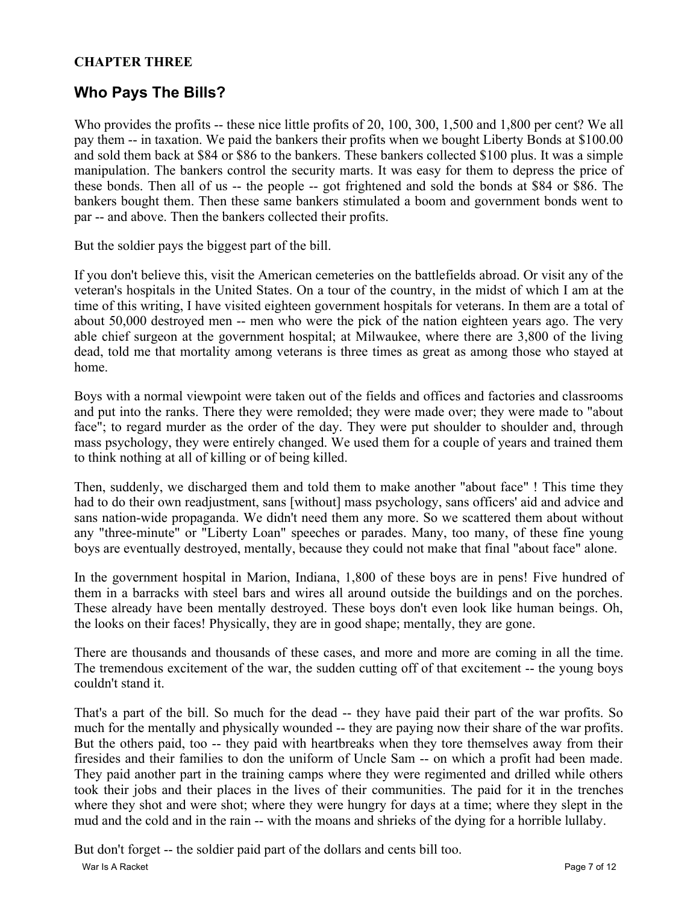#### <span id="page-6-0"></span>**CHAPTER THREE**

## **Who Pays The Bills?**

Who provides the profits -- these nice little profits of 20, 100, 300, 1,500 and 1,800 per cent? We all pay them -- in taxation. We paid the bankers their profits when we bought Liberty Bonds at \$100.00 and sold them back at \$84 or \$86 to the bankers. These bankers collected \$100 plus. It was a simple manipulation. The bankers control the security marts. It was easy for them to depress the price of these bonds. Then all of us -- the people -- got frightened and sold the bonds at \$84 or \$86. The bankers bought them. Then these same bankers stimulated a boom and government bonds went to par -- and above. Then the bankers collected their profits.

But the soldier pays the biggest part of the bill.

If you don't believe this, visit the American cemeteries on the battlefields abroad. Or visit any of the veteran's hospitals in the United States. On a tour of the country, in the midst of which I am at the time of this writing, I have visited eighteen government hospitals for veterans. In them are a total of about 50,000 destroyed men -- men who were the pick of the nation eighteen years ago. The very able chief surgeon at the government hospital; at Milwaukee, where there are 3,800 of the living dead, told me that mortality among veterans is three times as great as among those who stayed at home.

Boys with a normal viewpoint were taken out of the fields and offices and factories and classrooms and put into the ranks. There they were remolded; they were made over; they were made to "about face"; to regard murder as the order of the day. They were put shoulder to shoulder and, through mass psychology, they were entirely changed. We used them for a couple of years and trained them to think nothing at all of killing or of being killed.

Then, suddenly, we discharged them and told them to make another "about face" ! This time they had to do their own readjustment, sans [without] mass psychology, sans officers' aid and advice and sans nation-wide propaganda. We didn't need them any more. So we scattered them about without any "three-minute" or "Liberty Loan" speeches or parades. Many, too many, of these fine young boys are eventually destroyed, mentally, because they could not make that final "about face" alone.

In the government hospital in Marion, Indiana, 1,800 of these boys are in pens! Five hundred of them in a barracks with steel bars and wires all around outside the buildings and on the porches. These already have been mentally destroyed. These boys don't even look like human beings. Oh, the looks on their faces! Physically, they are in good shape; mentally, they are gone.

There are thousands and thousands of these cases, and more and more are coming in all the time. The tremendous excitement of the war, the sudden cutting off of that excitement -- the young boys couldn't stand it.

That's a part of the bill. So much for the dead -- they have paid their part of the war profits. So much for the mentally and physically wounded -- they are paying now their share of the war profits. But the others paid, too -- they paid with heartbreaks when they tore themselves away from their firesides and their families to don the uniform of Uncle Sam -- on which a profit had been made. They paid another part in the training camps where they were regimented and drilled while others took their jobs and their places in the lives of their communities. The paid for it in the trenches where they shot and were shot; where they were hungry for days at a time; where they slept in the mud and the cold and in the rain -- with the moans and shrieks of the dying for a horrible lullaby.

But don't forget -- the soldier paid part of the dollars and cents bill too. War Is A Racket Page 7 of 12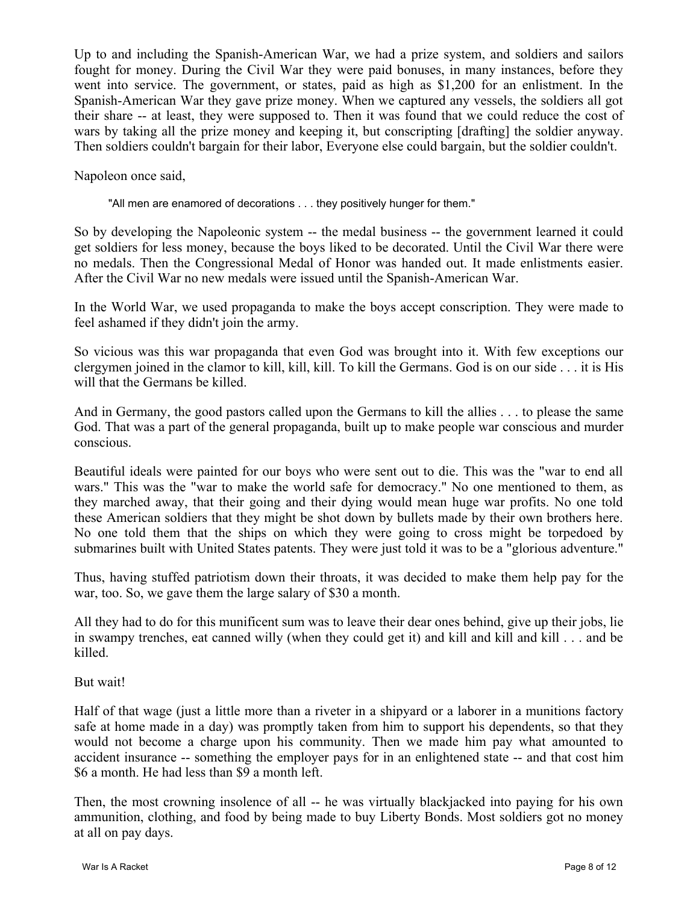Up to and including the Spanish-American War, we had a prize system, and soldiers and sailors fought for money. During the Civil War they were paid bonuses, in many instances, before they went into service. The government, or states, paid as high as \$1,200 for an enlistment. In the Spanish-American War they gave prize money. When we captured any vessels, the soldiers all got their share -- at least, they were supposed to. Then it was found that we could reduce the cost of wars by taking all the prize money and keeping it, but conscripting [drafting] the soldier anyway. Then soldiers couldn't bargain for their labor, Everyone else could bargain, but the soldier couldn't.

Napoleon once said,

"All men are enamored of decorations . . . they positively hunger for them."

So by developing the Napoleonic system -- the medal business -- the government learned it could get soldiers for less money, because the boys liked to be decorated. Until the Civil War there were no medals. Then the Congressional Medal of Honor was handed out. It made enlistments easier. After the Civil War no new medals were issued until the Spanish-American War.

In the World War, we used propaganda to make the boys accept conscription. They were made to feel ashamed if they didn't join the army.

So vicious was this war propaganda that even God was brought into it. With few exceptions our clergymen joined in the clamor to kill, kill, kill. To kill the Germans. God is on our side . . . it is His will that the Germans be killed.

And in Germany, the good pastors called upon the Germans to kill the allies . . . to please the same God. That was a part of the general propaganda, built up to make people war conscious and murder conscious.

Beautiful ideals were painted for our boys who were sent out to die. This was the "war to end all wars." This was the "war to make the world safe for democracy." No one mentioned to them, as they marched away, that their going and their dying would mean huge war profits. No one told these American soldiers that they might be shot down by bullets made by their own brothers here. No one told them that the ships on which they were going to cross might be torpedoed by submarines built with United States patents. They were just told it was to be a "glorious adventure."

Thus, having stuffed patriotism down their throats, it was decided to make them help pay for the war, too. So, we gave them the large salary of \$30 a month.

All they had to do for this munificent sum was to leave their dear ones behind, give up their jobs, lie in swampy trenches, eat canned willy (when they could get it) and kill and kill and kill . . . and be killed.

#### But wait!

Half of that wage (just a little more than a riveter in a shipyard or a laborer in a munitions factory safe at home made in a day) was promptly taken from him to support his dependents, so that they would not become a charge upon his community. Then we made him pay what amounted to accident insurance -- something the employer pays for in an enlightened state -- and that cost him \$6 a month. He had less than \$9 a month left.

Then, the most crowning insolence of all -- he was virtually blackjacked into paying for his own ammunition, clothing, and food by being made to buy Liberty Bonds. Most soldiers got no money at all on pay days.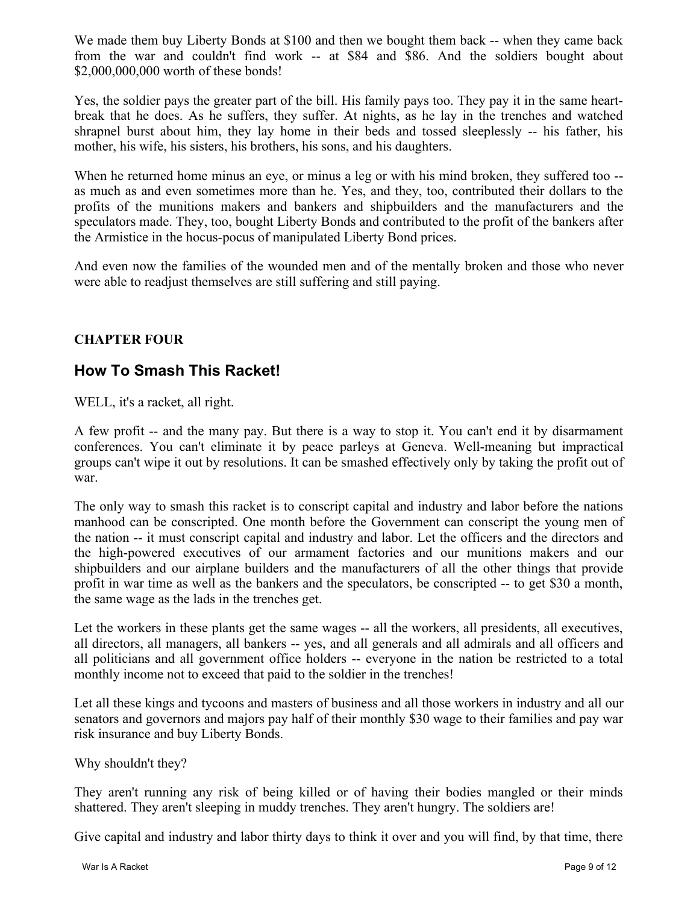We made them buy Liberty Bonds at \$100 and then we bought them back -- when they came back from the war and couldn't find work -- at \$84 and \$86. And the soldiers bought about \$2,000,000,000 worth of these bonds!

Yes, the soldier pays the greater part of the bill. His family pays too. They pay it in the same heartbreak that he does. As he suffers, they suffer. At nights, as he lay in the trenches and watched shrapnel burst about him, they lay home in their beds and tossed sleeplessly -- his father, his mother, his wife, his sisters, his brothers, his sons, and his daughters.

When he returned home minus an eye, or minus a leg or with his mind broken, they suffered too -as much as and even sometimes more than he. Yes, and they, too, contributed their dollars to the profits of the munitions makers and bankers and shipbuilders and the manufacturers and the speculators made. They, too, bought Liberty Bonds and contributed to the profit of the bankers after the Armistice in the hocus-pocus of manipulated Liberty Bond prices.

And even now the families of the wounded men and of the mentally broken and those who never were able to readjust themselves are still suffering and still paying.

## <span id="page-8-0"></span>**CHAPTER FOUR**

## **How To Smash This Racket!**

WELL, it's a racket, all right.

A few profit -- and the many pay. But there is a way to stop it. You can't end it by disarmament conferences. You can't eliminate it by peace parleys at Geneva. Well-meaning but impractical groups can't wipe it out by resolutions. It can be smashed effectively only by taking the profit out of war.

The only way to smash this racket is to conscript capital and industry and labor before the nations manhood can be conscripted. One month before the Government can conscript the young men of the nation -- it must conscript capital and industry and labor. Let the officers and the directors and the high-powered executives of our armament factories and our munitions makers and our shipbuilders and our airplane builders and the manufacturers of all the other things that provide profit in war time as well as the bankers and the speculators, be conscripted -- to get \$30 a month, the same wage as the lads in the trenches get.

Let the workers in these plants get the same wages -- all the workers, all presidents, all executives, all directors, all managers, all bankers -- yes, and all generals and all admirals and all officers and all politicians and all government office holders -- everyone in the nation be restricted to a total monthly income not to exceed that paid to the soldier in the trenches!

Let all these kings and tycoons and masters of business and all those workers in industry and all our senators and governors and majors pay half of their monthly \$30 wage to their families and pay war risk insurance and buy Liberty Bonds.

Why shouldn't they?

They aren't running any risk of being killed or of having their bodies mangled or their minds shattered. They aren't sleeping in muddy trenches. They aren't hungry. The soldiers are!

Give capital and industry and labor thirty days to think it over and you will find, by that time, there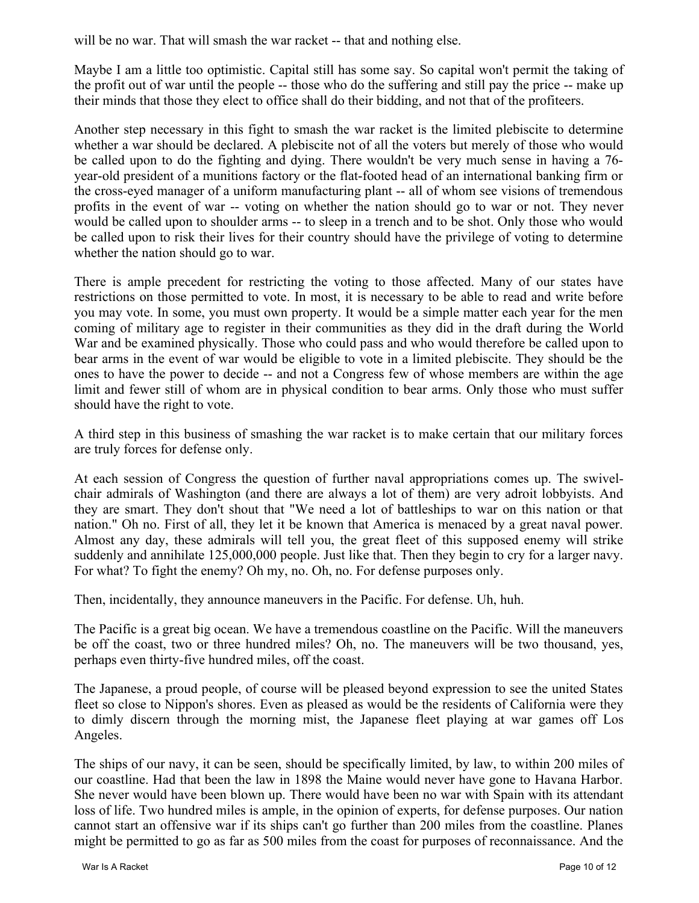will be no war. That will smash the war racket -- that and nothing else.

Maybe I am a little too optimistic. Capital still has some say. So capital won't permit the taking of the profit out of war until the people -- those who do the suffering and still pay the price -- make up their minds that those they elect to office shall do their bidding, and not that of the profiteers.

Another step necessary in this fight to smash the war racket is the limited plebiscite to determine whether a war should be declared. A plebiscite not of all the voters but merely of those who would be called upon to do the fighting and dying. There wouldn't be very much sense in having a 76 year-old president of a munitions factory or the flat-footed head of an international banking firm or the cross-eyed manager of a uniform manufacturing plant -- all of whom see visions of tremendous profits in the event of war -- voting on whether the nation should go to war or not. They never would be called upon to shoulder arms -- to sleep in a trench and to be shot. Only those who would be called upon to risk their lives for their country should have the privilege of voting to determine whether the nation should go to war.

There is ample precedent for restricting the voting to those affected. Many of our states have restrictions on those permitted to vote. In most, it is necessary to be able to read and write before you may vote. In some, you must own property. It would be a simple matter each year for the men coming of military age to register in their communities as they did in the draft during the World War and be examined physically. Those who could pass and who would therefore be called upon to bear arms in the event of war would be eligible to vote in a limited plebiscite. They should be the ones to have the power to decide -- and not a Congress few of whose members are within the age limit and fewer still of whom are in physical condition to bear arms. Only those who must suffer should have the right to vote.

A third step in this business of smashing the war racket is to make certain that our military forces are truly forces for defense only.

At each session of Congress the question of further naval appropriations comes up. The swivelchair admirals of Washington (and there are always a lot of them) are very adroit lobbyists. And they are smart. They don't shout that "We need a lot of battleships to war on this nation or that nation." Oh no. First of all, they let it be known that America is menaced by a great naval power. Almost any day, these admirals will tell you, the great fleet of this supposed enemy will strike suddenly and annihilate 125,000,000 people. Just like that. Then they begin to cry for a larger navy. For what? To fight the enemy? Oh my, no. Oh, no. For defense purposes only.

Then, incidentally, they announce maneuvers in the Pacific. For defense. Uh, huh.

The Pacific is a great big ocean. We have a tremendous coastline on the Pacific. Will the maneuvers be off the coast, two or three hundred miles? Oh, no. The maneuvers will be two thousand, yes, perhaps even thirty-five hundred miles, off the coast.

The Japanese, a proud people, of course will be pleased beyond expression to see the united States fleet so close to Nippon's shores. Even as pleased as would be the residents of California were they to dimly discern through the morning mist, the Japanese fleet playing at war games off Los Angeles.

The ships of our navy, it can be seen, should be specifically limited, by law, to within 200 miles of our coastline. Had that been the law in 1898 the Maine would never have gone to Havana Harbor. She never would have been blown up. There would have been no war with Spain with its attendant loss of life. Two hundred miles is ample, in the opinion of experts, for defense purposes. Our nation cannot start an offensive war if its ships can't go further than 200 miles from the coastline. Planes might be permitted to go as far as 500 miles from the coast for purposes of reconnaissance. And the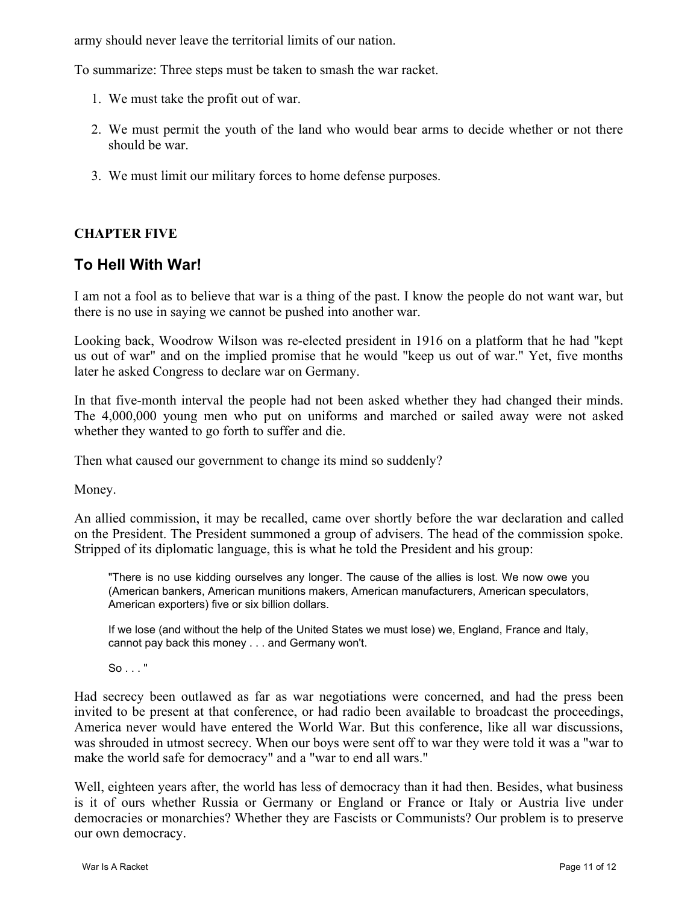army should never leave the territorial limits of our nation.

To summarize: Three steps must be taken to smash the war racket.

- 1. We must take the profit out of war.
- 2. We must permit the youth of the land who would bear arms to decide whether or not there should be war.
- 3. We must limit our military forces to home defense purposes.

## <span id="page-10-0"></span>**CHAPTER FIVE**

## **To Hell With War!**

I am not a fool as to believe that war is a thing of the past. I know the people do not want war, but there is no use in saying we cannot be pushed into another war.

Looking back, Woodrow Wilson was re-elected president in 1916 on a platform that he had "kept us out of war" and on the implied promise that he would "keep us out of war." Yet, five months later he asked Congress to declare war on Germany.

In that five-month interval the people had not been asked whether they had changed their minds. The 4,000,000 young men who put on uniforms and marched or sailed away were not asked whether they wanted to go forth to suffer and die.

Then what caused our government to change its mind so suddenly?

Money.

An allied commission, it may be recalled, came over shortly before the war declaration and called on the President. The President summoned a group of advisers. The head of the commission spoke. Stripped of its diplomatic language, this is what he told the President and his group:

"There is no use kidding ourselves any longer. The cause of the allies is lost. We now owe you (American bankers, American munitions makers, American manufacturers, American speculators, American exporters) five or six billion dollars.

If we lose (and without the help of the United States we must lose) we, England, France and Italy, cannot pay back this money . . . and Germany won't.

So . . . "

Had secrecy been outlawed as far as war negotiations were concerned, and had the press been invited to be present at that conference, or had radio been available to broadcast the proceedings, America never would have entered the World War. But this conference, like all war discussions, was shrouded in utmost secrecy. When our boys were sent off to war they were told it was a "war to make the world safe for democracy" and a "war to end all wars."

Well, eighteen years after, the world has less of democracy than it had then. Besides, what business is it of ours whether Russia or Germany or England or France or Italy or Austria live under democracies or monarchies? Whether they are Fascists or Communists? Our problem is to preserve our own democracy.